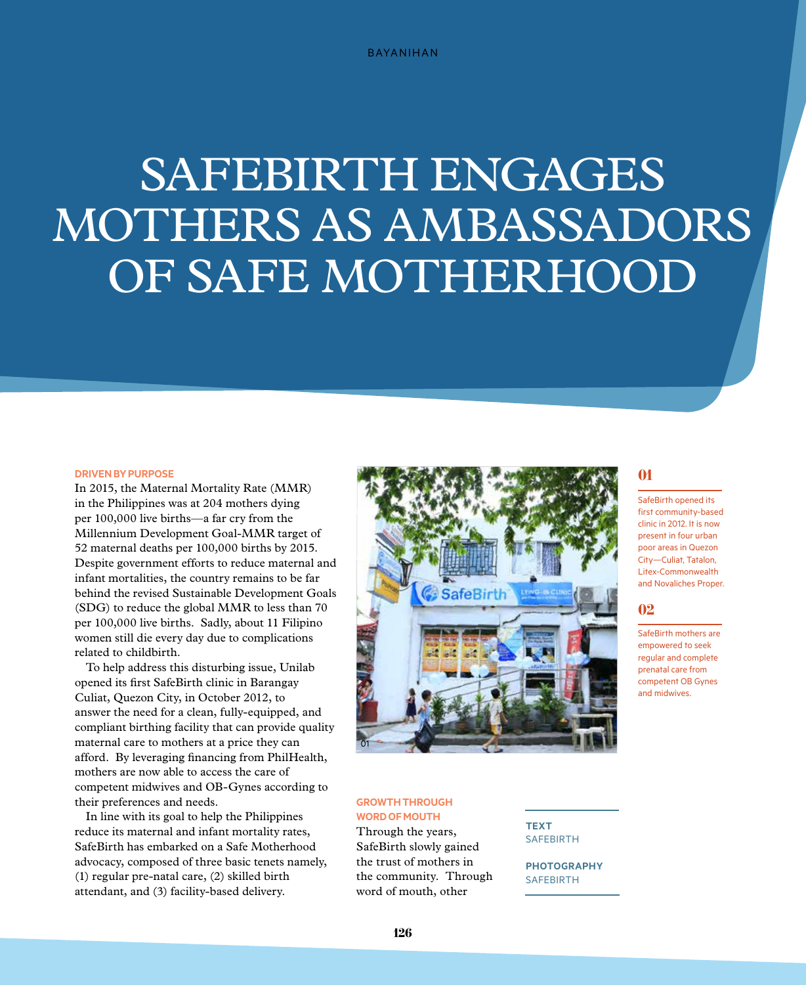# SAFEBIRTH ENGAGES Mothers as Ambassadors of Safe Motherhood

#### **Drivenby Purpose**

In 2015, the Maternal Mortality Rate (MMR) in the Philippines was at 204 mothers dying per 100,000 live births—a far cry from the Millennium Development Goal-MMR target of 52 maternal deaths per 100,000 births by 2015. Despite government efforts to reduce maternal and infant mortalities, the country remains to be far behind the revised Sustainable Development Goals (SDG) to reduce the global MMR to less than 70 per 100,000 live births. Sadly, about 11 Filipino women still die every day due to complications related to childbirth.

To help address this disturbing issue, Unilab opened its first SafeBirth clinic in Barangay Culiat, Quezon City, in October 2012, to answer the need for a clean, fully-equipped, and compliant birthing facility that can provide quality maternal care to mothers at a price they can afford. By leveraging financing from PhilHealth, mothers are now able to access the care of competent midwives and OB-Gynes according to their preferences and needs.

In line with its goal to help the Philippines reduce its maternal and infant mortality rates, SafeBirth has embarked on a Safe Motherhood advocacy, composed of three basic tenets namely, (1) regular pre-natal care, (2) skilled birth attendant, and (3) facility-based delivery.



#### **GROWTH THROUGH WORD OF MOUTH**

Through the years, SafeBirth slowly gained the trust of mothers in the community. Through word of mouth, other

**text SAFEBIRTH** 

**photography SAFEBIRTH** 

### 01

SafeBirth opened its first community-based clinic in 2012. It is now present in four urban poor areas in Quezon City—Culiat, Tatalon, Litex-Commonwealth and Novaliches Proper.

#### 02

SafeBirth mothers are empowered to seek regular and complete prenatal care from competent OB Gynes and midwives.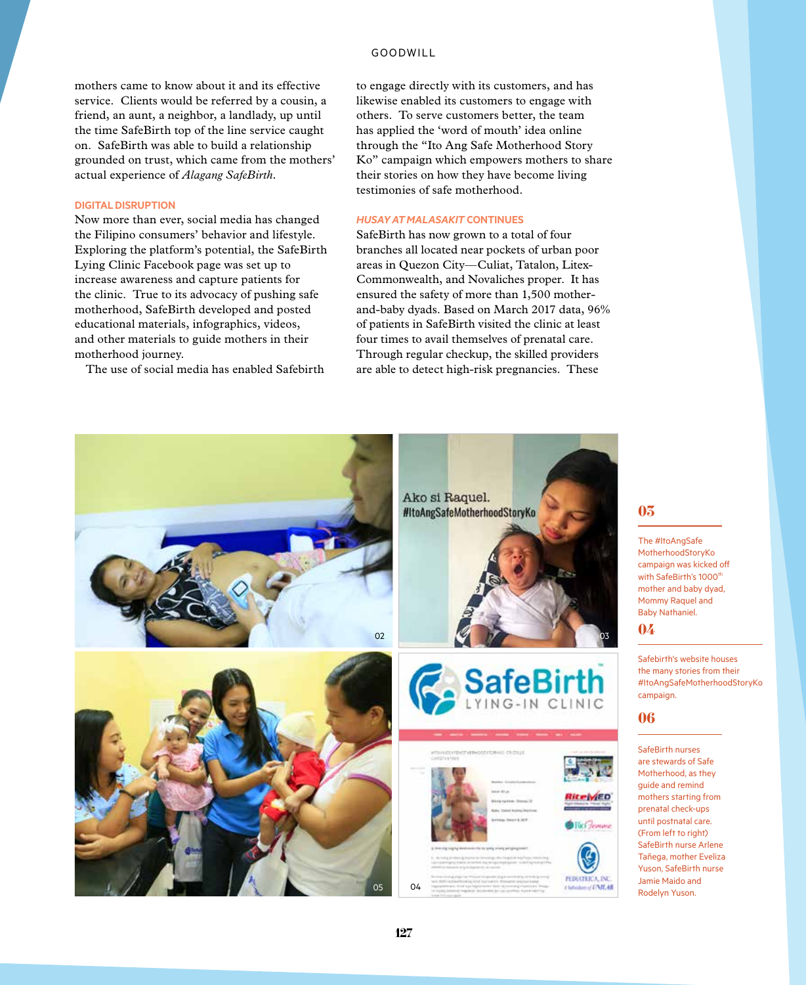#### GOODWILL

mothers came to know about it and its effective service. Clients would be referred by a cousin, a friend, an aunt, a neighbor, a landlady, up until the time SafeBirth top of the line service caught on. SafeBirth was able to build a relationship grounded on trust, which came from the mothers' actual experience of *Alagang SafeBirth.*

#### **Digital Disruption**

Now more than ever, social media has changed the Filipino consumers' behavior and lifestyle. Exploring the platform's potential, the SafeBirth Lying Clinic Facebook page was set up to increase awareness and capture patients for the clinic. True to its advocacy of pushing safe motherhood, SafeBirth developed and posted educational materials, infographics, videos, and other materials to guide mothers in their motherhood journey.

The use of social media has enabled Safebirth

to engage directly with its customers, and has likewise enabled its customers to engage with others. To serve customers better, the team has applied the 'word of mouth' idea online through the "Ito Ang Safe Motherhood Story Ko" campaign which empowers mothers to share their stories on how they have become living testimonies of safe motherhood.

#### *Husay at Malasakit* **Continues**

SafeBirth has now grown to a total of four branches all located near pockets of urban poor areas in Quezon City—Culiat, Tatalon, Litex-Commonwealth, and Novaliches proper. It has ensured the safety of more than 1,500 motherand-baby dyads. Based on March 2017 data, 96% of patients in SafeBirth visited the clinic at least four times to avail themselves of prenatal care. Through regular checkup, the skilled providers are able to detect high-risk pregnancies. These



#### 03

The #ItoAngSafe MotherhoodStoryKo campaign was kicked off with SafeBirth's 1000<sup>th</sup> mother and baby dyad, Mommy Raquel and Baby Nathaniel.

#### 04

Safebirth's website houses the many stories from their #ItoAngSafeMotherhoodStoryKo campaign.

#### 06

SafeBirth nurses are stewards of Safe Motherhood, as they guide and remind mothers starting from prenatal check-ups until postnatal care. (From left to right) SafeBirth nurse Arlene Tañega, mother Eveliza Yuson, SafeBirth nurse Jamie Maido and Rodelyn Yuson.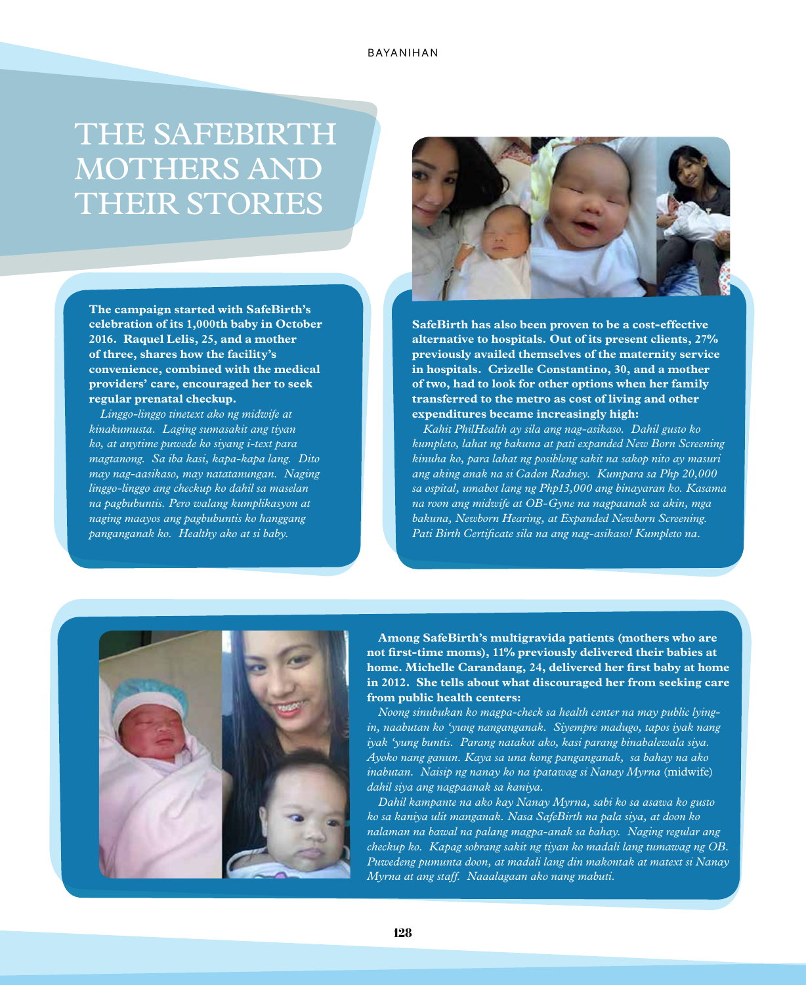## THE SAFEBIRTH MOTHERS AND THEIR STORIES

**The campaign started with SafeBirth's celebration of its 1,000th baby in October 2016. Raquel Lelis, 25, and a mother of three, shares how the facility's convenience, combined with the medical providers' care, encouraged her to seek regular prenatal checkup.**

*Linggo-linggo tinetext ako ng midwife at kinakumusta. Laging sumasakit ang tiyan ko, at anytime puwede ko siyang i-text para magtanong. Sa iba kasi, kapa-kapa lang. Dito may nag-aasikaso, may natatanungan. Naging linggo-linggo ang checkup ko dahil sa maselan na pagbubuntis. Pero walang kumplikasyon at naging maayos ang pagbubuntis ko hanggang panganganak ko. Healthy ako at si baby.* 



**SafeBirth has also been proven to be a cost-effective alternative to hospitals. Out of its present clients, 27% previously availed themselves of the maternity service in hospitals. Crizelle Constantino, 30, and a mother of two, had to look for other options when her family transferred to the metro as cost of living and other expenditures became increasingly high:** 

*Kahit PhilHealth ay sila ang nag-asikaso. Dahil gusto ko kumpleto, lahat ng bakuna at pati expanded New Born Screening kinuha ko, para lahat ng posibleng sakit na sakop nito ay masuri ang aking anak na si Caden Radney. Kumpara sa Php 20,000 sa ospital, umabot lang ng Php13,000 ang binayaran ko. Kasama na roon ang midwife at OB-Gyne na nagpaanak sa akin, mga bakuna, Newborn Hearing, at Expanded Newborn Screening. Pati Birth Certificate sila na ang nag-asikaso! Kumpleto na.*



**Among SafeBirth's multigravida patients (mothers who are not first-time moms), 11% previously delivered their babies at home. Michelle Carandang, 24, delivered her first baby at home in 2012. She tells about what discouraged her from seeking care from public health centers:** 

*Noong sinubukan ko magpa-check sa health center na may public lyingin, naabutan ko 'yung nanganganak. Siyempre madugo, tapos iyak nang iyak 'yung buntis. Parang natakot ako, kasi parang binabalewala siya. Ayoko nang ganun. Kaya sa una kong panganganak, sa bahay na ako inabutan. Naisip ng nanay ko na ipatawag si Nanay Myrna* (midwife) *dahil siya ang nagpaanak sa kaniya.*

*Dahil kampante na ako kay Nanay Myrna, sabi ko sa asawa ko gusto ko sa kaniya ulit manganak. Nasa SafeBirth na pala siya, at doon ko nalaman na bawal na palang magpa-anak sa bahay. Naging regular ang checkup ko. Kapag sobrang sakit ng tiyan ko madali lang tumawag ng OB. Puwedeng pumunta doon, at madali lang din makontak at matext si Nanay Myrna at ang staff. Naaalagaan ako nang mabuti.*